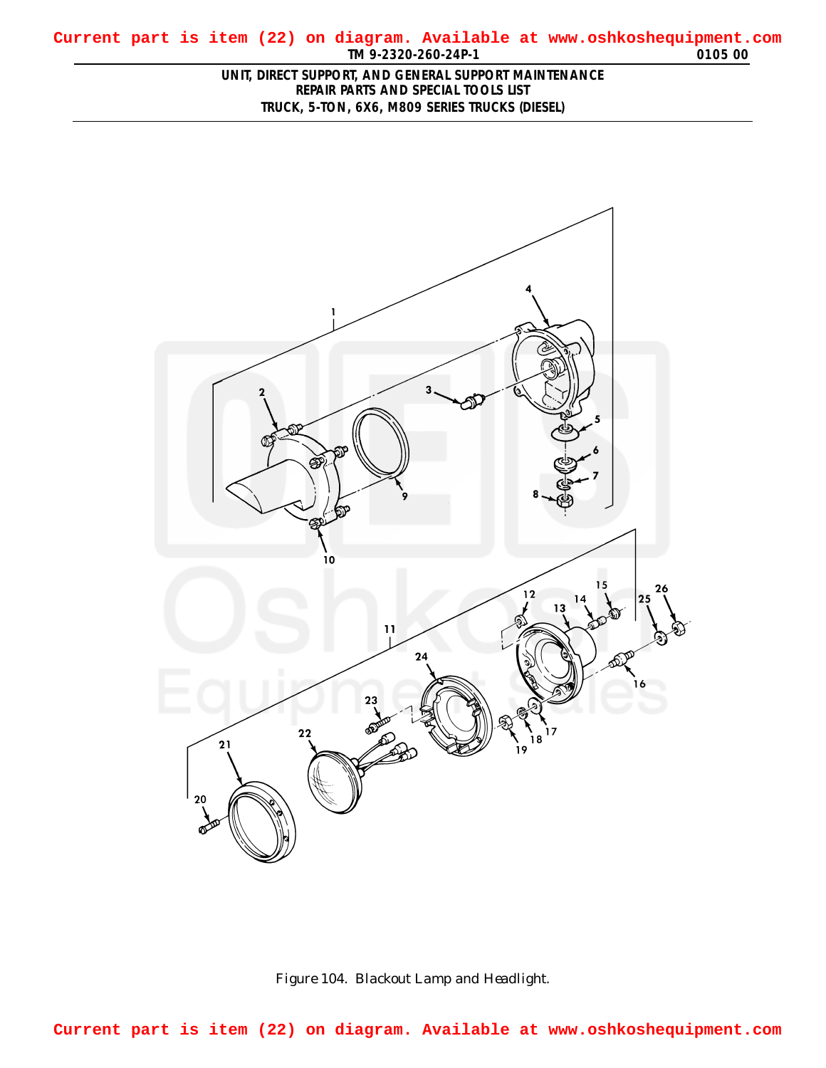## <span id="page-0-0"></span>**TM 9-2320-260-24P-1 0105 00 Current part is item (22) on diagram. Available at www.oshkoshequipment.com**

## **UNIT, DIRECT SUPPORT, AND GENERAL SUPPORT MAINTENANCE REPAIR PARTS AND SPECIAL TOOLS LIST TRUCK, 5-TON, 6X6, M809 SERIES TRUCKS (DIESEL)**





**Current part is item (22) on diagram. Available at www.oshkoshequipment.com**